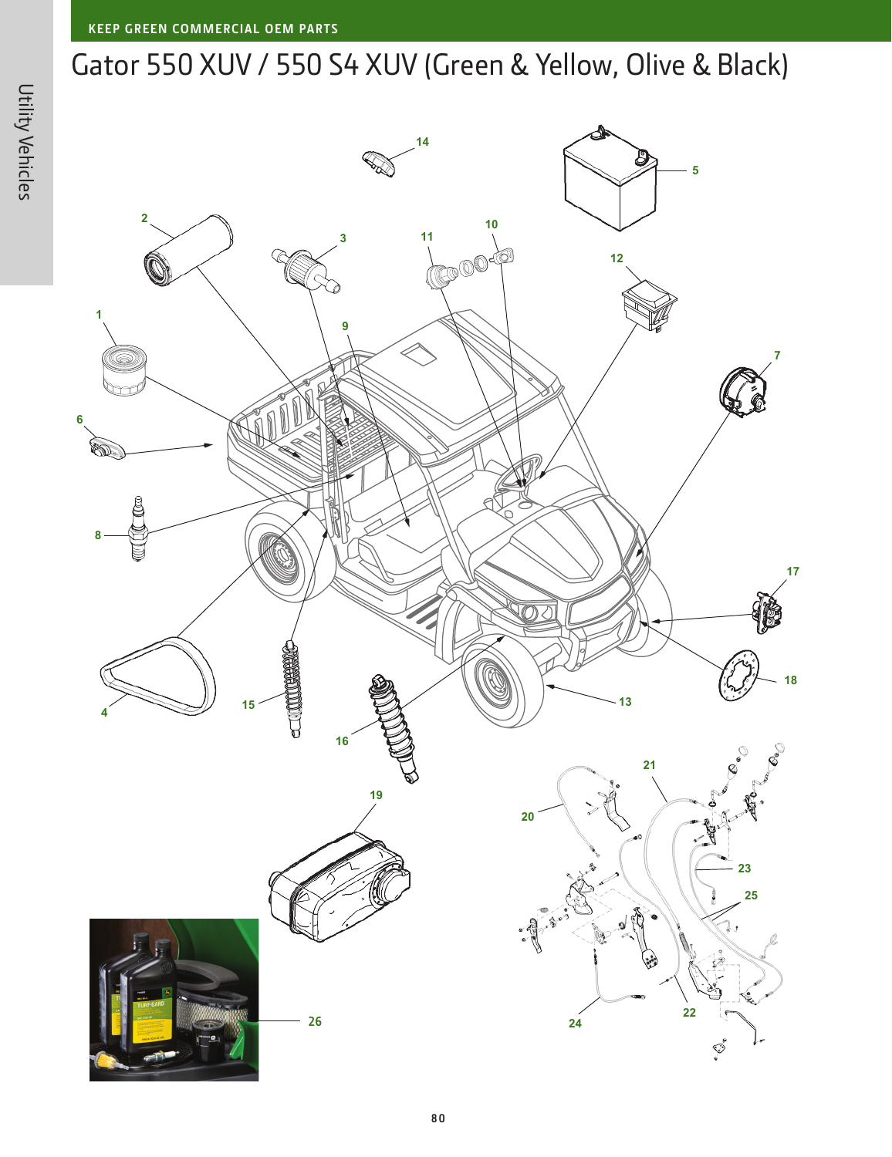## Gator 550 XUV / 550 S4 XUV (Green & Yellow, Olive & Black)